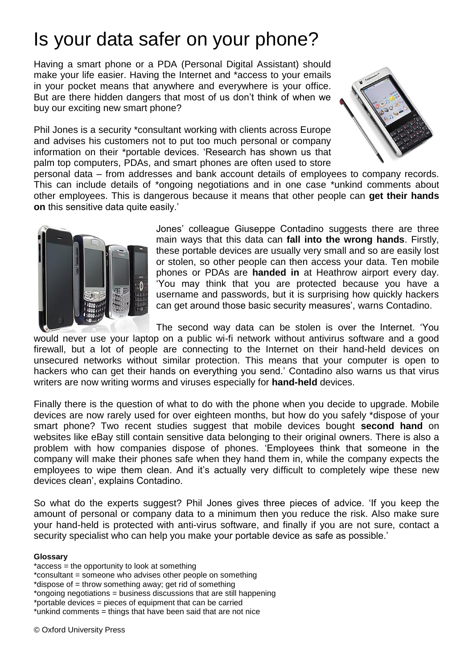# Is your data safer on your phone?

Having a smart phone or a PDA (Personal Digital Assistant) should make your life easier. Having the Internet and \*access to your emails in your pocket means that anywhere and everywhere is your office. But are there hidden dangers that most of us don't think of when we buy our exciting new smart phone?

Phil Jones is a security \*consultant working with clients across Europe and advises his customers not to put too much personal or company information on their \*portable devices. 'Research has shown us that palm top computers, PDAs, and smart phones are often used to store



personal data – from addresses and bank account details of employees to company records. This can include details of \*ongoing negotiations and in one case \*unkind comments about other employees. This is dangerous because it means that other people can **get their hands on** this sensitive data quite easily.'



Jones' colleague Giuseppe Contadino suggests there are three main ways that this data can **fall into the wrong hands**. Firstly, these portable devices are usually very small and so are easily lost or stolen, so other people can then access your data. Ten mobile phones or PDAs are **handed in** at Heathrow airport every day. 'You may think that you are protected because you have a username and passwords, but it is surprising how quickly hackers can get around those basic security measures', warns Contadino.

The second way data can be stolen is over the Internet. 'You would never use your laptop on a public wi-fi network without antivirus software and a good firewall, but a lot of people are connecting to the Internet on their hand-held devices on unsecured networks without similar protection. This means that your computer is open to hackers who can get their hands on everything you send.' Contadino also warns us that virus writers are now writing worms and viruses especially for **hand-held** devices.

Finally there is the question of what to do with the phone when you decide to upgrade. Mobile devices are now rarely used for over eighteen months, but how do you safely \*dispose of your smart phone? Two recent studies suggest that mobile devices bought **second hand** on websites like eBay still contain sensitive data belonging to their original owners. There is also a problem with how companies dispose of phones. 'Employees think that someone in the company will make their phones safe when they hand them in, while the company expects the employees to wipe them clean. And it's actually very difficult to completely wipe these new devices clean', explains Contadino.

So what do the experts suggest? Phil Jones gives three pieces of advice. 'If you keep the amount of personal or company data to a minimum then you reduce the risk. Also make sure your hand-held is protected with anti-virus software, and finally if you are not sure, contact a security specialist who can help you make your portable device as safe as possible.'

#### **Glossary**

- \*access = the opportunity to look at something
- \*consultant = someone who advises other people on something
- \*dispose of = throw something away; get rid of something
- \*ongoing negotiations = business discussions that are still happening
- \*portable devices = pieces of equipment that can be carried
- \*unkind comments = things that have been said that are not nice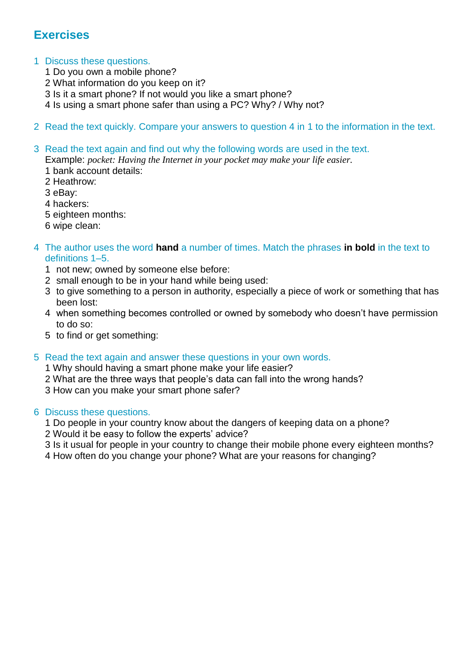## **Exercises**

#### 1 Discuss these questions.

- 1 Do you own a mobile phone?
- 2 What information do you keep on it?
- 3 Is it a smart phone? If not would you like a smart phone?
- 4 Is using a smart phone safer than using a PC? Why? / Why not?
- 2 Read the text quickly. Compare your answers to question 4 in 1 to the information in the text.

#### 3 Read the text again and find out why the following words are used in the text.

Example: *pocket: Having the Internet in your pocket may make your life easier.*

- 1 bank account details:
- 2 Heathrow:
- 3 eBay:
- 4 hackers:
- 5 eighteen months:
- 6 wipe clean:

#### 4 The author uses the word **hand** a number of times. Match the phrases **in bold** in the text to definitions 1–5.

- 1 not new; owned by someone else before:
- 2 small enough to be in your hand while being used:
- 3 to give something to a person in authority, especially a piece of work or something that has been lost:
- 4 when something becomes controlled or owned by somebody who doesn't have permission to do so:
- 5 to find or get something:
- 5 Read the text again and answer these questions in your own words.

1 Why should having a smart phone make your life easier?

- 2 What are the three ways that people's data can fall into the wrong hands?
- 3 How can you make your smart phone safer?

#### 6 Discuss these questions.

- 1 Do people in your country know about the dangers of keeping data on a phone?
- 2 Would it be easy to follow the experts' advice?
- 3 Is it usual for people in your country to change their mobile phone every eighteen months?
- 4 How often do you change your phone? What are your reasons for changing?